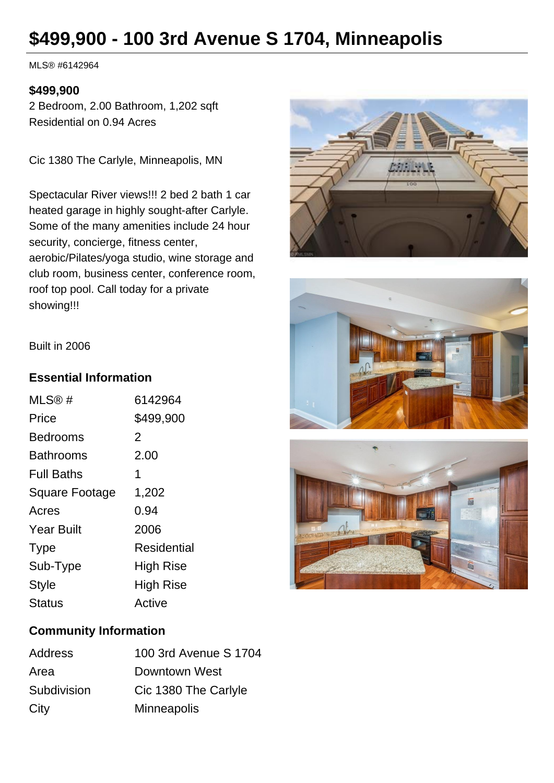# **\$499,900 - 100 3rd Avenue S 1704, Minneapolis**

MLS® #6142964

## **\$499,900**

2 Bedroom, 2.00 Bathroom, 1,202 sqft Residential on 0.94 Acres

Cic 1380 The Carlyle, Minneapolis, MN

Spectacular River views!!! 2 bed 2 bath 1 car heated garage in highly sought-after Carlyle. Some of the many amenities include 24 hour security, concierge, fitness center, aerobic/Pilates/yoga studio, wine storage and club room, business center, conference room, roof top pool. Call today for a private showing!!!







#### Built in 2006

## **Essential Information**

| MLS@#                 | 6142964          |
|-----------------------|------------------|
| Price                 | \$499,900        |
| Bedrooms              | 2                |
| Bathrooms             | 2.00             |
| <b>Full Baths</b>     | 1                |
| <b>Square Footage</b> | 1,202            |
| Acres                 | 0.94             |
| <b>Year Built</b>     | 2006             |
| <b>Type</b>           | Residential      |
| Sub-Type              | High Rise        |
| Style                 | <b>High Rise</b> |
| <b>Status</b>         | Active           |

## **Community Information**

| Address     | 100 3rd Avenue S 1704 |
|-------------|-----------------------|
| Area        | Downtown West         |
| Subdivision | Cic 1380 The Carlyle  |
| City        | Minneapolis           |